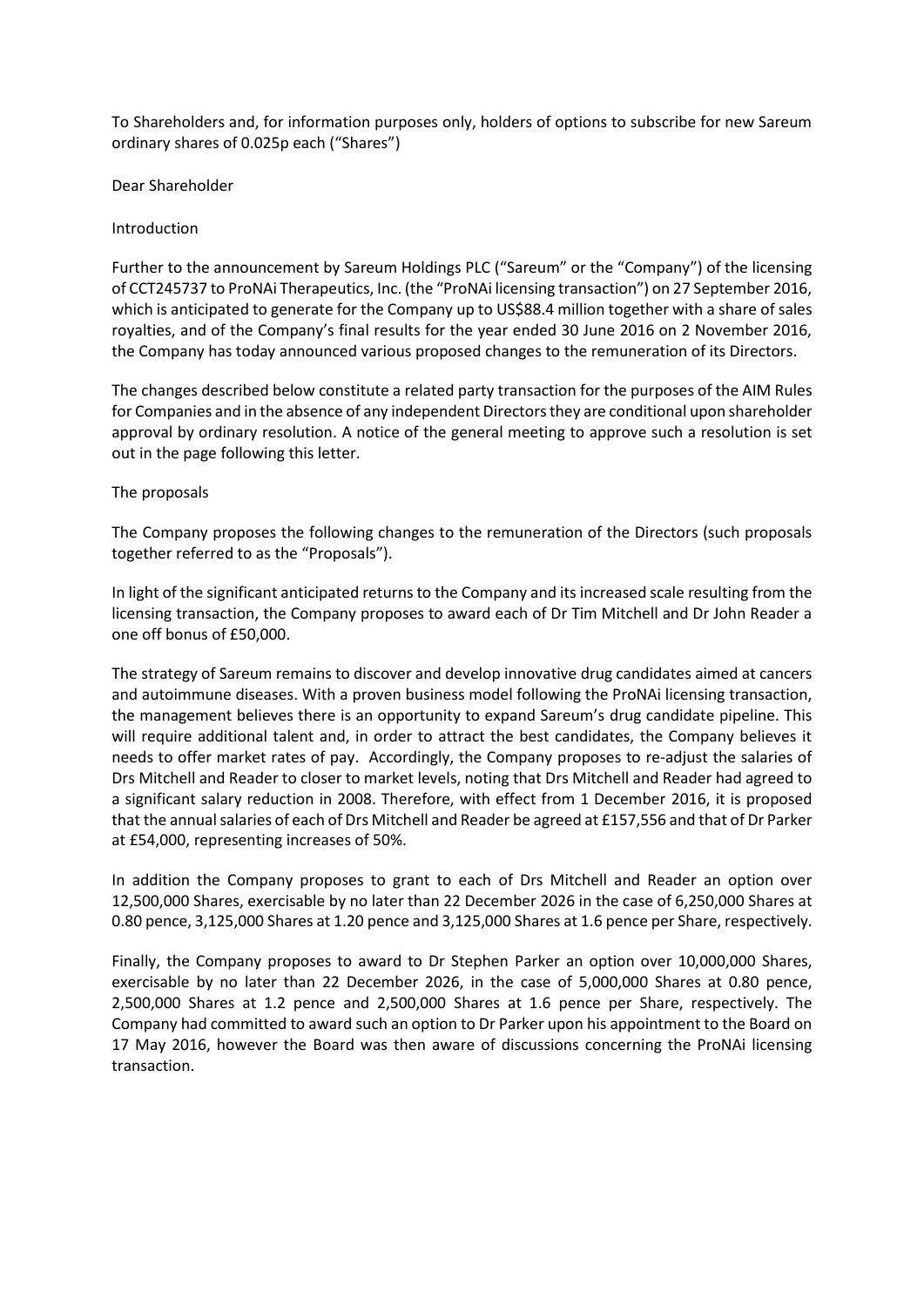To Shareholders and, for information purposes only, holders of options to subscribe for new Sareum ordinary shares of 0.025p each ("Shares")

Dear Shareholder

# Introduction

Further to the announcement by Sareum Holdings PLC ("Sareum" or the "Company") of the licensing of CCT245737 to ProNAi Therapeutics, Inc. (the "ProNAi licensing transaction") on 27 September 2016, which is anticipated to generate for the Company up to US\$88.4 million together with a share of sales royalties, and of the Company's final results for the year ended 30 June 2016 on 2 November 2016, the Company has today announced various proposed changes to the remuneration of its Directors.

The changes described below constitute a related party transaction for the purposes of the AIM Rules for Companies and in the absence of any independent Directorsthey are conditional upon shareholder approval by ordinary resolution. A notice of the general meeting to approve such a resolution is set out in the page following this letter.

# The proposals

The Company proposes the following changes to the remuneration of the Directors (such proposals together referred to as the "Proposals").

In light of the significant anticipated returns to the Company and its increased scale resulting from the licensing transaction, the Company proposes to award each of Dr Tim Mitchell and Dr John Reader a one off bonus of £50,000.

The strategy of Sareum remains to discover and develop innovative drug candidates aimed at cancers and autoimmune diseases. With a proven business model following the ProNAi licensing transaction, the management believes there is an opportunity to expand Sareum's drug candidate pipeline. This will require additional talent and, in order to attract the best candidates, the Company believes it needs to offer market rates of pay. Accordingly, the Company proposes to re-adjust the salaries of Drs Mitchell and Reader to closer to market levels, noting that Drs Mitchell and Reader had agreed to a significant salary reduction in 2008. Therefore, with effect from 1 December 2016, it is proposed that the annual salaries of each of Drs Mitchell and Reader be agreed at £157,556 and that of Dr Parker at £54,000, representing increases of 50%.

In addition the Company proposes to grant to each of Drs Mitchell and Reader an option over 12,500,000 Shares, exercisable by no later than 22 December 2026 in the case of 6,250,000 Shares at 0.80 pence, 3,125,000 Shares at 1.20 pence and 3,125,000 Shares at 1.6 pence per Share, respectively.

Finally, the Company proposes to award to Dr Stephen Parker an option over 10,000,000 Shares, exercisable by no later than 22 December 2026, in the case of 5,000,000 Shares at 0.80 pence, 2,500,000 Shares at 1.2 pence and 2,500,000 Shares at 1.6 pence per Share, respectively. The Company had committed to award such an option to Dr Parker upon his appointment to the Board on 17 May 2016, however the Board was then aware of discussions concerning the ProNAi licensing transaction.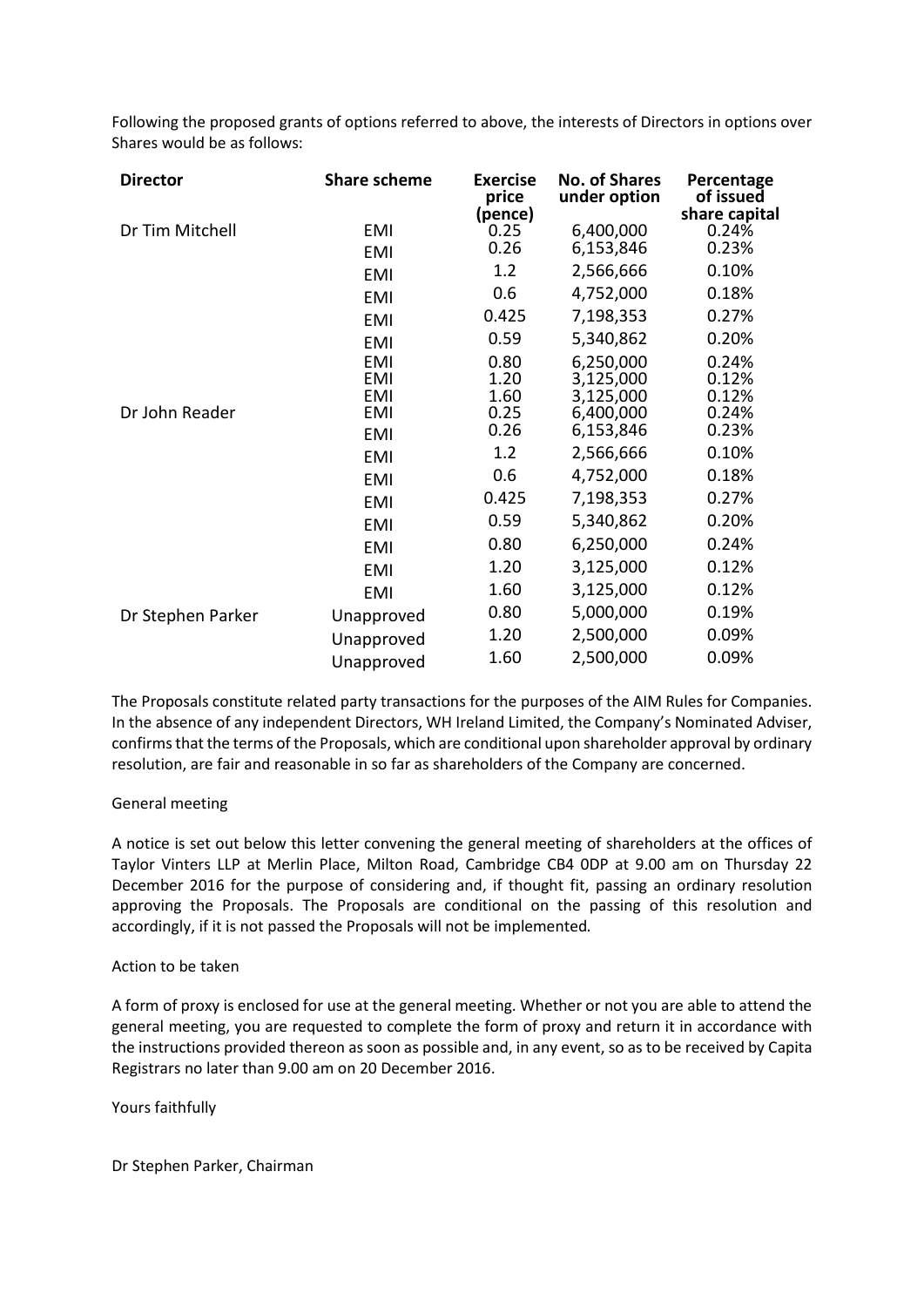Following the proposed grants of options referred to above, the interests of Directors in options over Shares would be as follows:

| <b>Director</b>   | <b>Share scheme</b>                    | <b>Exercise</b><br>price<br>(pence) | <b>No. of Shares</b><br>under option | Percentage<br>of issued<br>share capital |
|-------------------|----------------------------------------|-------------------------------------|--------------------------------------|------------------------------------------|
| Dr Tim Mitchell   | <b>EMI</b><br><b>EMI</b>               | 0.25<br>0.26                        | 6,400,000<br>6,153,846               | 0.24%<br>0.23%                           |
|                   | <b>EMI</b>                             | 1.2                                 | 2,566,666                            | 0.10%                                    |
|                   | <b>EMI</b>                             | 0.6                                 | 4,752,000                            | 0.18%                                    |
|                   | <b>EMI</b>                             | 0.425                               | 7,198,353                            | 0.27%                                    |
|                   | <b>EMI</b>                             | 0.59                                | 5,340,862                            | 0.20%                                    |
|                   | <b>EMI</b><br><b>EMI</b><br><b>EMI</b> | 0.80<br>1.20<br>1.60                | 6,250,000<br>3,125,000<br>3,125,000  | 0.24%<br>0.12%<br>0.12%                  |
| Dr John Reader    | <b>EMI</b>                             | 0.25                                | 6,400,000                            | 0.24%                                    |
|                   | <b>EMI</b>                             | 0.26                                | 6,153,846                            | 0.23%                                    |
|                   | <b>EMI</b>                             | 1.2                                 | 2,566,666                            | 0.10%                                    |
|                   | <b>EMI</b>                             | 0.6                                 | 4,752,000                            | 0.18%                                    |
|                   | <b>EMI</b>                             | 0.425                               | 7,198,353                            | 0.27%                                    |
|                   | <b>EMI</b>                             | 0.59                                | 5,340,862                            | 0.20%                                    |
|                   | <b>EMI</b>                             | 0.80                                | 6,250,000                            | 0.24%                                    |
|                   | <b>EMI</b>                             | 1.20                                | 3,125,000                            | 0.12%                                    |
|                   | <b>EMI</b>                             | 1.60                                | 3,125,000                            | 0.12%                                    |
| Dr Stephen Parker | Unapproved                             | 0.80                                | 5,000,000                            | 0.19%                                    |
|                   | Unapproved                             | 1.20                                | 2,500,000                            | 0.09%                                    |
|                   | Unapproved                             | 1.60                                | 2,500,000                            | 0.09%                                    |

The Proposals constitute related party transactions for the purposes of the AIM Rules for Companies. In the absence of any independent Directors, WH Ireland Limited, the Company's Nominated Adviser, confirms that the terms of the Proposals, which are conditional upon shareholder approval by ordinary resolution, are fair and reasonable in so far as shareholders of the Company are concerned.

# General meeting

A notice is set out below this letter convening the general meeting of shareholders at the offices of Taylor Vinters LLP at Merlin Place, Milton Road, Cambridge CB4 0DP at 9.00 am on Thursday 22 December 2016 for the purpose of considering and, if thought fit, passing an ordinary resolution approving the Proposals. The Proposals are conditional on the passing of this resolution and accordingly, if it is not passed the Proposals will not be implemented.

#### Action to be taken

A form of proxy is enclosed for use at the general meeting. Whether or not you are able to attend the general meeting, you are requested to complete the form of proxy and return it in accordance with the instructions provided thereon as soon as possible and, in any event, so as to be received by Capita Registrars no later than 9.00 am on 20 December 2016.

Yours faithfully

Dr Stephen Parker, Chairman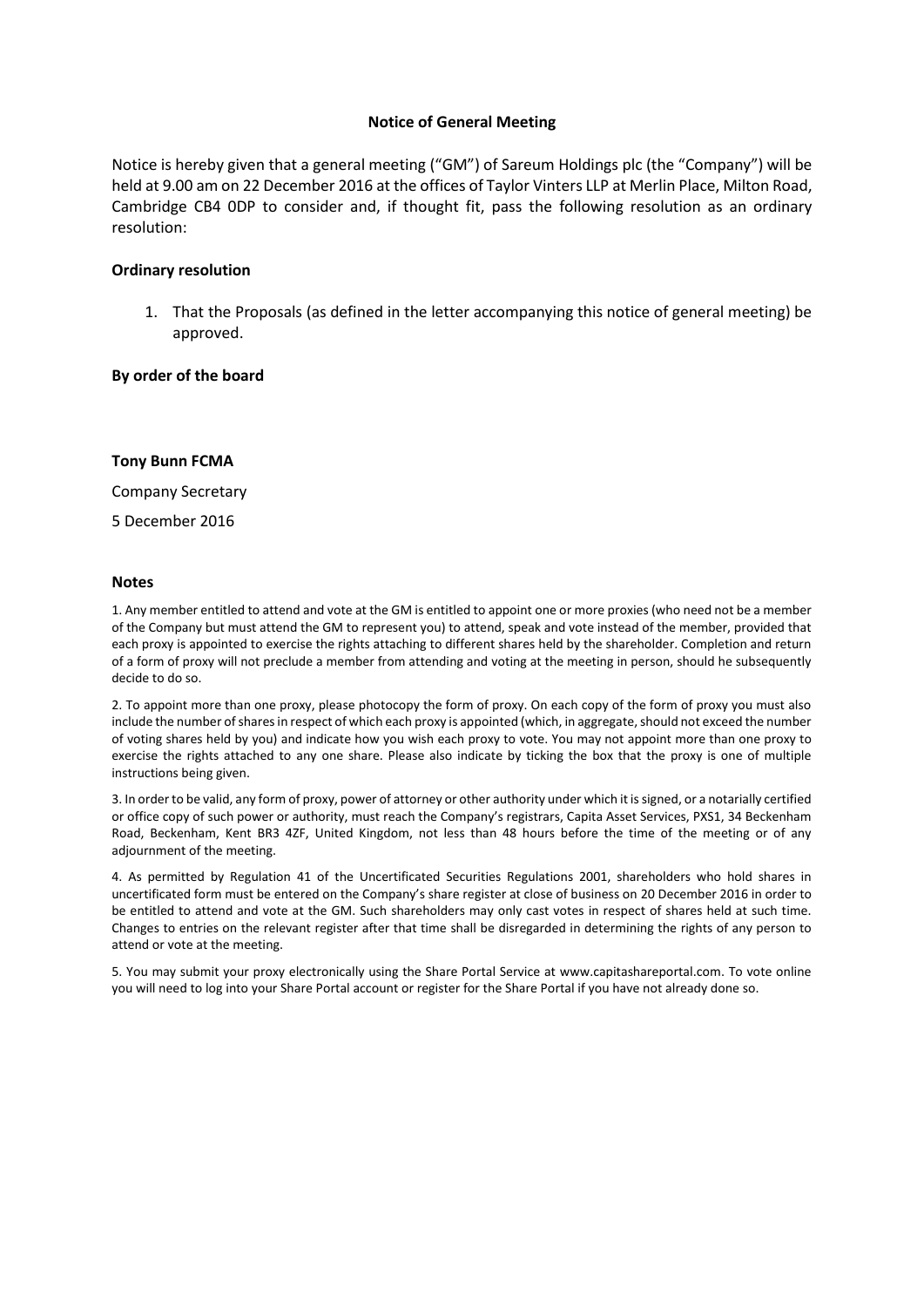### **Notice of General Meeting**

Notice is hereby given that a general meeting ("GM") of Sareum Holdings plc (the "Company") will be held at 9.00 am on 22 December 2016 at the offices of Taylor Vinters LLP at Merlin Place, Milton Road, Cambridge CB4 0DP to consider and, if thought fit, pass the following resolution as an ordinary resolution:

### **Ordinary resolution**

1. That the Proposals (as defined in the letter accompanying this notice of general meeting) be approved.

#### **By order of the board**

#### **Tony Bunn FCMA**

Company Secretary

5 December 2016

#### **Notes**

1. Any member entitled to attend and vote at the GM is entitled to appoint one or more proxies (who need not be a member of the Company but must attend the GM to represent you) to attend, speak and vote instead of the member, provided that each proxy is appointed to exercise the rights attaching to different shares held by the shareholder. Completion and return of a form of proxy will not preclude a member from attending and voting at the meeting in person, should he subsequently decide to do so.

2. To appoint more than one proxy, please photocopy the form of proxy. On each copy of the form of proxy you must also include the number of shares in respect of which each proxy is appointed (which, in aggregate, should not exceed the number of voting shares held by you) and indicate how you wish each proxy to vote. You may not appoint more than one proxy to exercise the rights attached to any one share. Please also indicate by ticking the box that the proxy is one of multiple instructions being given.

3. In orderto be valid, any form of proxy, power of attorney or other authority under which it is signed, or a notarially certified or office copy of such power or authority, must reach the Company's registrars, Capita Asset Services, PXS1, 34 Beckenham Road, Beckenham, Kent BR3 4ZF, United Kingdom, not less than 48 hours before the time of the meeting or of any adjournment of the meeting.

4. As permitted by Regulation 41 of the Uncertificated Securities Regulations 2001, shareholders who hold shares in uncertificated form must be entered on the Company's share register at close of business on 20 December 2016 in order to be entitled to attend and vote at the GM. Such shareholders may only cast votes in respect of shares held at such time. Changes to entries on the relevant register after that time shall be disregarded in determining the rights of any person to attend or vote at the meeting.

5. You may submit your proxy electronically using the Share Portal Service at www.capitashareportal.com. To vote online you will need to log into your Share Portal account or register for the Share Portal if you have not already done so.